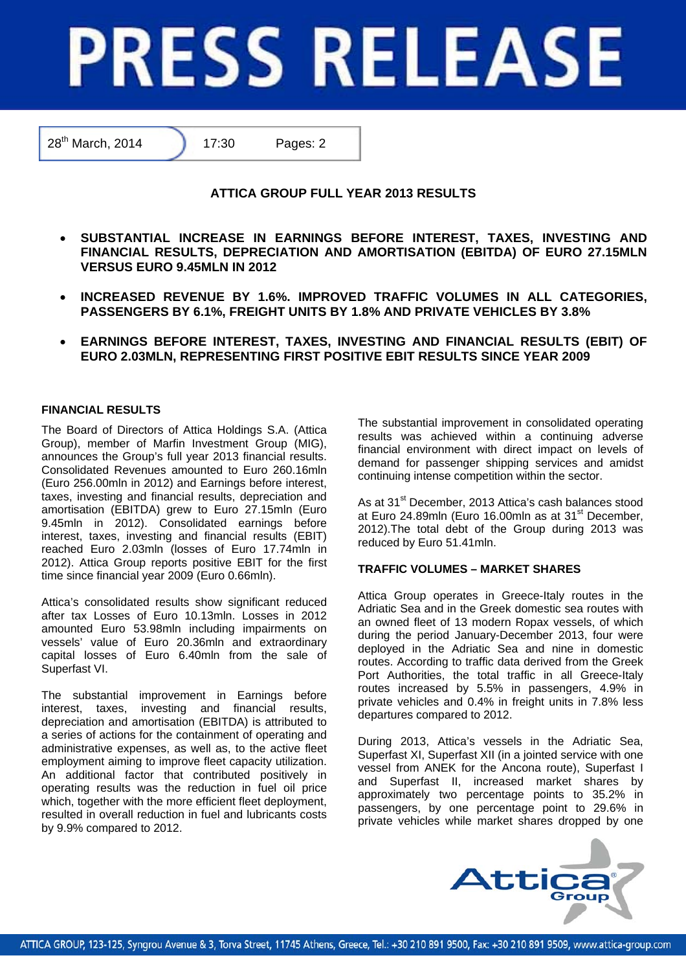# **PRESS RELEASE**

28<sup>th</sup> March, 2014 17:30 Pages: 2

# **ATTICA GROUP FULL YEAR 2013 RESULTS**

- **SUBSTANTIAL INCREASE IN EARNINGS BEFORE INTEREST, TAXES, INVESTING AND FINANCIAL RESULTS, DEPRECIATION AND AMORTISATION (EBITDA) OF EURO 27.15MLN VERSUS EURO 9.45MLN IN 2012**
- **INCREASED REVENUE BY 1.6%. IMPROVED TRAFFIC VOLUMES IN ALL CATEGORIES, PASSENGERS BY 6.1%, FREIGHT UNITS BY 1.8% AND PRIVATE VEHICLES BY 3.8%**
- **EARNINGS BEFORE INTEREST, TAXES, INVESTING AND FINANCIAL RESULTS (EBIT) OF EURO 2.03MLN, REPRESENTING FIRST POSITIVE EBIT RESULTS SINCE YEAR 2009**

## **FINANCIAL RESULTS**

The Board of Directors of Attica Holdings S.A. (Attica Group), member of Marfin Investment Group (MIG), announces the Group's full year 2013 financial results. Consolidated Revenues amounted to Euro 260.16mln (Euro 256.00mln in 2012) and Earnings before interest, taxes, investing and financial results, depreciation and amortisation (EBITDA) grew to Euro 27.15mln (Euro 9.45mln in 2012). Consolidated earnings before interest, taxes, investing and financial results (EBIT) reached Euro 2.03mln (losses of Euro 17.74mln in 2012). Attica Group reports positive EBIT for the first time since financial year 2009 (Euro 0.66mln).

Attica's consolidated results show significant reduced after tax Losses of Euro 10.13mln. Losses in 2012 amounted Euro 53.98mln including impairments on vessels' value of Euro 20.36mln and extraordinary capital losses of Euro 6.40mln from the sale of Superfast VI.

The substantial improvement in Earnings before interest, taxes, investing and financial results, depreciation and amortisation (EBITDA) is attributed to a series of actions for the containment of operating and administrative expenses, as well as, to the active fleet employment aiming to improve fleet capacity utilization. An additional factor that contributed positively in operating results was the reduction in fuel oil price which, together with the more efficient fleet deployment, resulted in overall reduction in fuel and lubricants costs by 9.9% compared to 2012.

The substantial improvement in consolidated operating results was achieved within a continuing adverse financial environment with direct impact on levels of demand for passenger shipping services and amidst continuing intense competition within the sector.

As at 31<sup>st</sup> December, 2013 Attica's cash balances stood at Euro 24.89mln (Euro 16.00mln as at 31<sup>st</sup> December, 2012).The total debt of the Group during 2013 was reduced by Euro 51.41mln.

### **TRAFFIC VOLUMES – MARKET SHARES**

Attica Group operates in Greece-Italy routes in the Adriatic Sea and in the Greek domestic sea routes with an owned fleet of 13 modern Ropax vessels, of which during the period January-December 2013, four were deployed in the Adriatic Sea and nine in domestic routes. According to traffic data derived from the Greek Port Authorities, the total traffic in all Greece-Italy routes increased by 5.5% in passengers, 4.9% in private vehicles and 0.4% in freight units in 7.8% less departures compared to 2012.

During 2013, Attica's vessels in the Adriatic Sea, Superfast XI, Superfast XII (in a jointed service with one vessel from ANEK for the Ancona route), Superfast I and Superfast II, increased market shares by approximately two percentage points to 35.2% in passengers, by one percentage point to 29.6% in private vehicles while market shares dropped by one